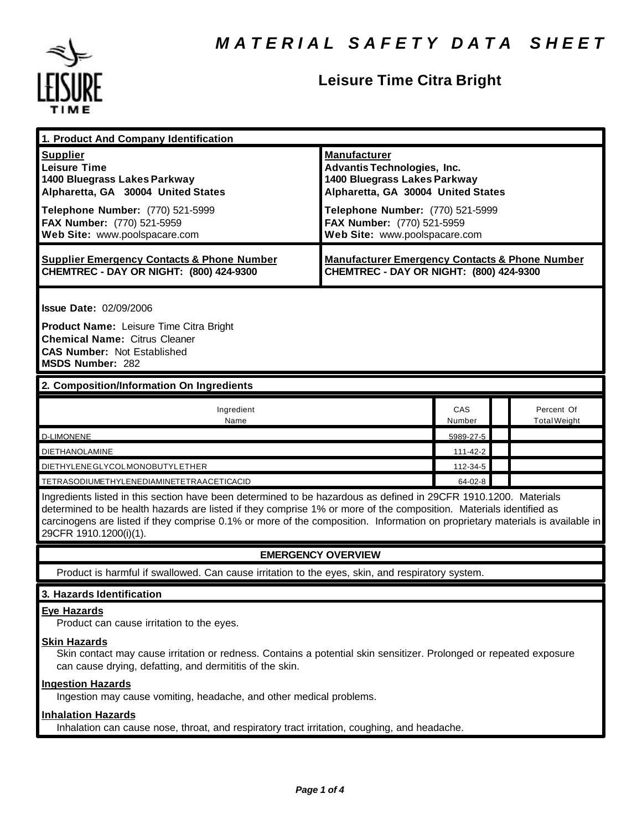

# **Leisure Time Citra Bright**

| 1. Product And Company Identification                                                                                                                                                                                                                                                                                                                                                             |                                                                                                                                                                     |               |                                   |  |
|---------------------------------------------------------------------------------------------------------------------------------------------------------------------------------------------------------------------------------------------------------------------------------------------------------------------------------------------------------------------------------------------------|---------------------------------------------------------------------------------------------------------------------------------------------------------------------|---------------|-----------------------------------|--|
| <b>Supplier</b><br><b>Leisure Time</b><br>1400 Bluegrass Lakes Parkway<br>Alpharetta, GA 30004 United States<br>Telephone Number: (770) 521-5999                                                                                                                                                                                                                                                  | <b>Manufacturer</b><br><b>Advantis Technologies, Inc.</b><br>1400 Bluegrass Lakes Parkway<br>Alpharetta, GA 30004 United States<br>Telephone Number: (770) 521-5999 |               |                                   |  |
| FAX Number: (770) 521-5959<br>Web Site: www.poolspacare.com                                                                                                                                                                                                                                                                                                                                       | FAX Number: (770) 521-5959<br>Web Site: www.poolspacare.com                                                                                                         |               |                                   |  |
| <b>Supplier Emergency Contacts &amp; Phone Number</b><br>CHEMTREC - DAY OR NIGHT: (800) 424-9300                                                                                                                                                                                                                                                                                                  | <b>Manufacturer Emergency Contacts &amp; Phone Number</b><br>CHEMTREC - DAY OR NIGHT: (800) 424-9300                                                                |               |                                   |  |
| <b>Issue Date: 02/09/2006</b>                                                                                                                                                                                                                                                                                                                                                                     |                                                                                                                                                                     |               |                                   |  |
| <b>Product Name: Leisure Time Citra Bright</b><br><b>Chemical Name: Citrus Cleaner</b><br><b>CAS Number: Not Established</b><br><b>MSDS Number: 282</b>                                                                                                                                                                                                                                           |                                                                                                                                                                     |               |                                   |  |
| 2. Composition/Information On Ingredients                                                                                                                                                                                                                                                                                                                                                         |                                                                                                                                                                     |               |                                   |  |
| Ingredient<br>Name                                                                                                                                                                                                                                                                                                                                                                                |                                                                                                                                                                     | CAS<br>Number | Percent Of<br><b>Total Weight</b> |  |
| <b>D-LIMONENE</b>                                                                                                                                                                                                                                                                                                                                                                                 |                                                                                                                                                                     | 5989-27-5     |                                   |  |
| <b>DIETHANOLAMINE</b>                                                                                                                                                                                                                                                                                                                                                                             |                                                                                                                                                                     | 111-42-2      |                                   |  |
| DIETHYLENE GLYCOLMONOBUTYL ETHER                                                                                                                                                                                                                                                                                                                                                                  |                                                                                                                                                                     | 112-34-5      |                                   |  |
| TETRASODIUMETHYLENEDIAMINETETRAACETICACID                                                                                                                                                                                                                                                                                                                                                         |                                                                                                                                                                     | $64 - 02 - 8$ |                                   |  |
| Ingredients listed in this section have been determined to be hazardous as defined in 29CFR 1910.1200. Materials<br>determined to be health hazards are listed if they comprise 1% or more of the composition. Materials identified as<br>carcinogens are listed if they comprise 0.1% or more of the composition. Information on proprietary materials is available in<br>29CFR 1910.1200(i)(1). |                                                                                                                                                                     |               |                                   |  |
| <b>EMERGENCY OVERVIEW</b>                                                                                                                                                                                                                                                                                                                                                                         |                                                                                                                                                                     |               |                                   |  |
| Product is harmful if swallowed. Can cause irritation to the eyes, skin, and respiratory system.                                                                                                                                                                                                                                                                                                  |                                                                                                                                                                     |               |                                   |  |
| 3. Hazards Identification                                                                                                                                                                                                                                                                                                                                                                         |                                                                                                                                                                     |               |                                   |  |
| <b>Eye Hazards</b><br>Product can cause irritation to the eyes.                                                                                                                                                                                                                                                                                                                                   |                                                                                                                                                                     |               |                                   |  |
| <b>Skin Hazards</b><br>Skin contact may cause irritation or redness. Contains a potential skin sensitizer. Prolonged or repeated exposure<br>can cause drying, defatting, and dermititis of the skin.                                                                                                                                                                                             |                                                                                                                                                                     |               |                                   |  |
| <b>Ingestion Hazards</b>                                                                                                                                                                                                                                                                                                                                                                          |                                                                                                                                                                     |               |                                   |  |

Ingestion may cause vomiting, headache, and other medical problems.

# **Inhalation Hazards**

Inhalation can cause nose, throat, and respiratory tract irritation, coughing, and headache.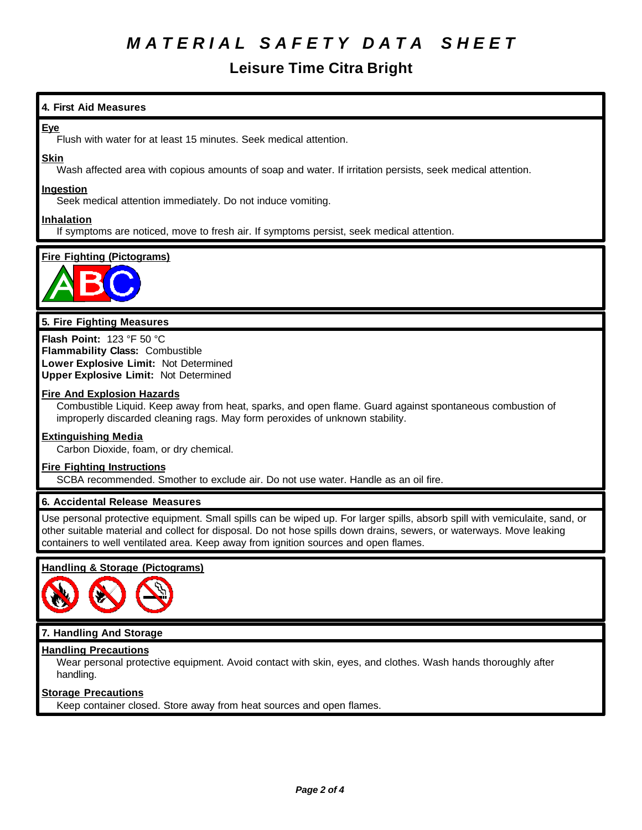# *M A T E R I A L S A F E T Y D A T A S H E E T*

# **Leisure Time Citra Bright**

# **4. First Aid Measures**

### **Eye**

Flush with water for at least 15 minutes. Seek medical attention.

### **Skin**

Wash affected area with copious amounts of soap and water. If irritation persists, seek medical attention.

### **Ingestion**

Seek medical attention immediately. Do not induce vomiting.

### **Inhalation**

If symptoms are noticed, move to fresh air. If symptoms persist, seek medical attention.

# **Fire Fighting (Pictograms)**



## **5. Fire Fighting Measures**

**Flash Point:** 123 °F 50 °C **Flammability Class:** Combustible **Lower Explosive Limit:** Not Determined **Upper Explosive Limit:** Not Determined

### **Fire And Explosion Hazards**

Combustible Liquid. Keep away from heat, sparks, and open flame. Guard against spontaneous combustion of improperly discarded cleaning rags. May form peroxides of unknown stability.

#### **Extinguishing Media**

Carbon Dioxide, foam, or dry chemical.

#### **Fire Fighting Instructions**

SCBA recommended. Smother to exclude air. Do not use water. Handle as an oil fire.

### **6. Accidental Release Measures**

Use personal protective equipment. Small spills can be wiped up. For larger spills, absorb spill with vemiculaite, sand, or other suitable material and collect for disposal. Do not hose spills down drains, sewers, or waterways. Move leaking containers to well ventilated area. Keep away from ignition sources and open flames.

### **Handling & Storage (Pictograms)**



# **7. Handling And Storage**

## **Handling Precautions**

Wear personal protective equipment. Avoid contact with skin, eyes, and clothes. Wash hands thoroughly after handling.

### **Storage Precautions**

Keep container closed. Store away from heat sources and open flames.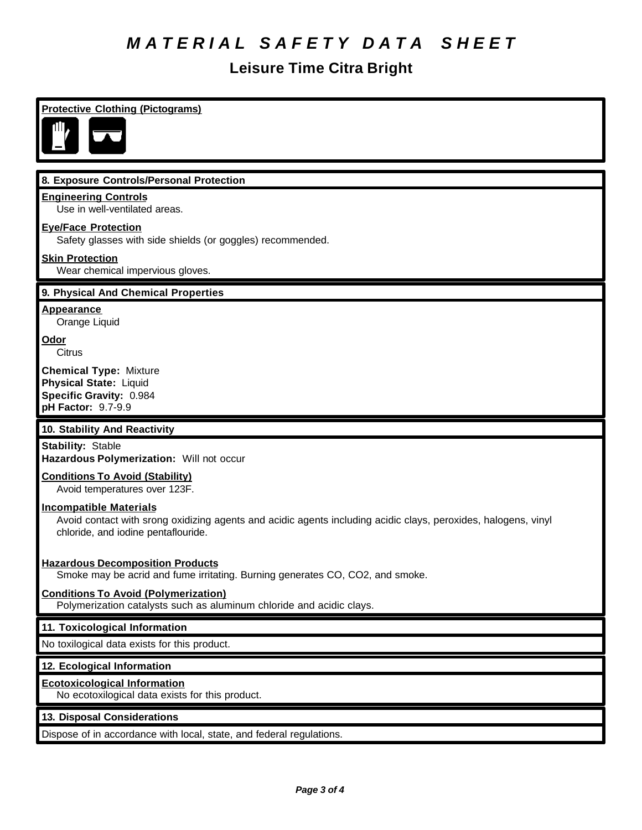# *M A T E R I A L S A F E T Y D A T A S H E E T*

# **Leisure Time Citra Bright**

# **Protective Clothing (Pictograms)**



## **8. Exposure Controls/Personal Protection**

### **Engineering Controls**

Use in well-ventilated areas.

### **Eye/Face Protection**

Safety glasses with side shields (or goggles) recommended.

## **Skin Protection**

Wear chemical impervious gloves.

### **9. Physical And Chemical Properties**

**Appearance**

Orange Liquid

**Odor Citrus** 

**Chemical Type:** Mixture **Physical State:** Liquid **Specific Gravity:** 0.984 **pH Factor:** 9.7-9.9

### **10. Stability And Reactivity**

**Stability:** Stable **Hazardous Polymerization:** Will not occur

### **Conditions To Avoid (Stability)**

Avoid temperatures over 123F.

## **Incompatible Materials**

Avoid contact with srong oxidizing agents and acidic agents including acidic clays, peroxides, halogens, vinyl chloride, and iodine pentaflouride.

### **Hazardous Decomposition Products**

Smoke may be acrid and fume irritating. Burning generates CO, CO2, and smoke.

### **Conditions To Avoid (Polymerization)**

Polymerization catalysts such as aluminum chloride and acidic clays.

### **11. Toxicological Information**

No toxilogical data exists for this product.

### **12. Ecological Information**

#### **Ecotoxicological Information**

No ecotoxilogical data exists for this product.

### **13. Disposal Considerations**

Dispose of in accordance with local, state, and federal regulations.